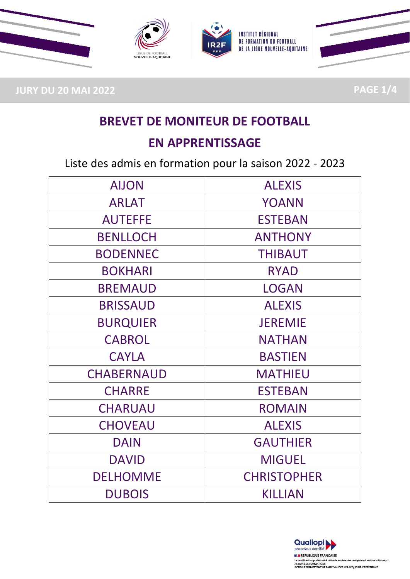

**JURY DU 20 MAI 2022 PAGE 1/4**

# **BREVET DE MONITEUR DE FOOTBALL**

### **EN APPRENTISSAGE**

Liste des admis en formation pour la saison 2022 - 2023

| <b>AIJON</b>      | <b>ALEXIS</b>      |
|-------------------|--------------------|
| <b>ARLAT</b>      | <b>YOANN</b>       |
| <b>AUTEFFE</b>    | <b>ESTEBAN</b>     |
| <b>BENLLOCH</b>   | <b>ANTHONY</b>     |
| <b>BODENNEC</b>   | <b>THIBAUT</b>     |
| <b>BOKHARI</b>    | <b>RYAD</b>        |
| <b>BREMAUD</b>    | <b>LOGAN</b>       |
| <b>BRISSAUD</b>   | <b>ALEXIS</b>      |
| <b>BURQUIER</b>   | <b>JEREMIE</b>     |
| <b>CABROL</b>     | <b>NATHAN</b>      |
| <b>CAYLA</b>      | <b>BASTIEN</b>     |
| <b>CHABERNAUD</b> | <b>MATHIEU</b>     |
| <b>CHARRE</b>     | <b>ESTEBAN</b>     |
| <b>CHARUAU</b>    | <b>ROMAIN</b>      |
| <b>CHOVEAU</b>    | <b>ALEXIS</b>      |
| <b>DAIN</b>       | <b>GAUTHIER</b>    |
| <b>DAVID</b>      | <b>MIGUEL</b>      |
| <b>DELHOMME</b>   | <b>CHRISTOPHER</b> |
| <b>DUBOIS</b>     | <b>KILLIAN</b>     |

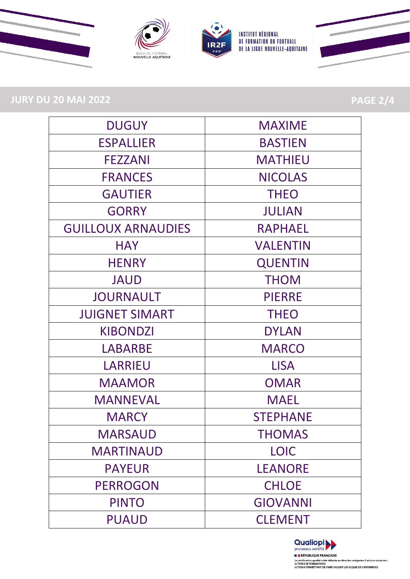

# **JURY DU 20 MAI 2022 PAGE 2/4**

| <b>DUGUY</b>              | <b>MAXIME</b>   |
|---------------------------|-----------------|
| <b>ESPALLIER</b>          | <b>BASTIEN</b>  |
| <b>FEZZANI</b>            | <b>MATHIEU</b>  |
| <b>FRANCES</b>            | <b>NICOLAS</b>  |
| <b>GAUTIER</b>            | <b>THEO</b>     |
| <b>GORRY</b>              | <b>JULIAN</b>   |
| <b>GUILLOUX ARNAUDIES</b> | <b>RAPHAEL</b>  |
| <b>HAY</b>                | <b>VALENTIN</b> |
| <b>HENRY</b>              | <b>QUENTIN</b>  |
| <b>JAUD</b>               | <b>THOM</b>     |
| <b>JOURNAULT</b>          | <b>PIERRE</b>   |
| <b>JUIGNET SIMART</b>     | <b>THEO</b>     |
| <b>KIBONDZI</b>           | <b>DYLAN</b>    |
| LABARBE                   | <b>MARCO</b>    |
| <b>LARRIEU</b>            | <b>LISA</b>     |
| <b>MAAMOR</b>             | <b>OMAR</b>     |
| <b>MANNEVAL</b>           | <b>MAEL</b>     |
| <b>MARCY</b>              | <b>STEPHANE</b> |
| <b>MARSAUD</b>            | <b>THOMAS</b>   |
| <b>MARTINAUD</b>          | <b>LOIC</b>     |
| <b>PAYEUR</b>             | <b>LEANORE</b>  |
| <b>PERROGON</b>           | <b>CHLOE</b>    |
| <b>PINTO</b>              | <b>GIOVANNI</b> |
| <b>PUAUD</b>              | <b>CLEMENT</b>  |

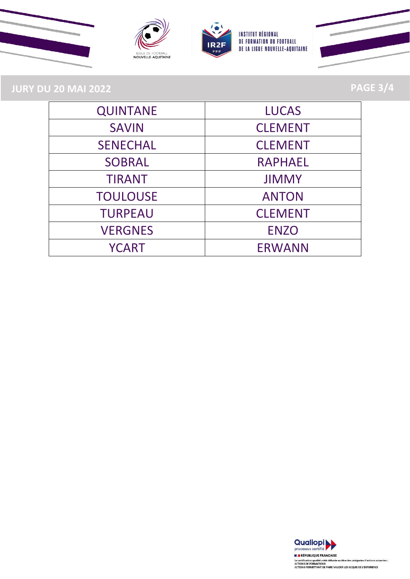







**JURY DU 20 MAI 2022 PAGE 3/4**

| <b>QUINTANE</b> | <b>LUCAS</b>   |
|-----------------|----------------|
| <b>SAVIN</b>    | <b>CLEMENT</b> |
| <b>SENECHAL</b> | <b>CLEMENT</b> |
| <b>SOBRAL</b>   | <b>RAPHAEL</b> |
| <b>TIRANT</b>   | <b>JIMMY</b>   |
| <b>TOULOUSE</b> | <b>ANTON</b>   |
| <b>TURPEAU</b>  | <b>CLEMENT</b> |
| <b>VERGNES</b>  | <b>ENZO</b>    |
| <b>YCART</b>    | <b>ERWANN</b>  |